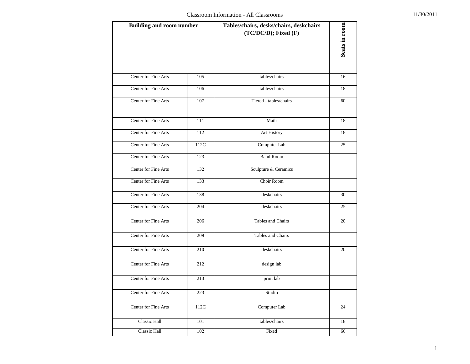| <b>Building and room number</b> |                 | Tables/chairs, desks/chairs, deskchairs<br>$(TC/DC/D)$ ; Fixed $(F)$ | Seats in room |
|---------------------------------|-----------------|----------------------------------------------------------------------|---------------|
| Center for Fine Arts            | 105             | tables/chairs                                                        | 16            |
| Center for Fine Arts            | 106             | tables/chairs                                                        | 18            |
| Center for Fine Arts            | 107             | Tiered - tables/chairs                                               | 60            |
| Center for Fine Arts            | 111             | Math                                                                 | 18            |
| Center for Fine Arts            | 112             | Art History                                                          | 18            |
| Center for Fine Arts            | 112C            | Computer Lab                                                         | 25            |
| Center for Fine Arts            | 123             | <b>Band Room</b>                                                     |               |
| Center for Fine Arts            | 132             | Sculpture & Ceramics                                                 |               |
| Center for Fine Arts            | 133             | Choir Room                                                           |               |
| Center for Fine Arts            | 138             | deskchairs                                                           | 30            |
| Center for Fine Arts            | 204             | deskchairs                                                           | 25            |
| Center for Fine Arts            | 206             | Tables and Chairs                                                    | 20            |
| Center for Fine Arts            | 209             | Tables and Chairs                                                    |               |
| Center for Fine Arts            | 210             | deskchairs                                                           | 20            |
| Center for Fine Arts            | 212             | design lab                                                           |               |
| Center for Fine Arts            | 213             | print lab                                                            |               |
| Center for Fine Arts            | 223             | Studio                                                               |               |
| Center for Fine Arts            | $112\mathrm{C}$ | Computer Lab                                                         | 24            |
| Classic Hall                    | 101             | tables/chairs                                                        | $18\,$        |
| Classic Hall                    | 102             | Fixed                                                                | 66            |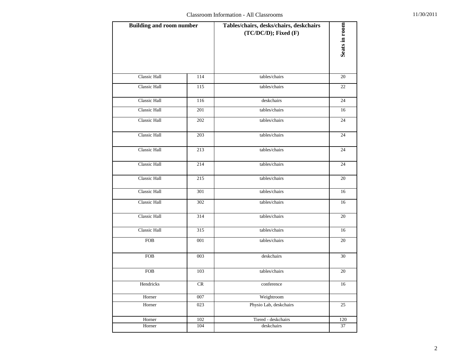| <b>Building and room number</b> |     | Tables/chairs, desks/chairs, deskchairs<br>$(TC/DC/D)$ ; Fixed $(F)$ | Seats in room |
|---------------------------------|-----|----------------------------------------------------------------------|---------------|
| <b>Classic Hall</b>             | 114 | tables/chairs                                                        | 20            |
| Classic Hall                    | 115 | tables/chairs                                                        | 22            |
| Classic Hall                    | 116 | deskchairs                                                           | 24            |
| <b>Classic Hall</b>             | 201 | tables/chairs                                                        | 16            |
| Classic Hall                    | 202 | tables/chairs                                                        | 24            |
| Classic Hall                    | 203 | tables/chairs                                                        | 24            |
| Classic Hall                    | 213 | tables/chairs                                                        | 24            |
| Classic Hall                    | 214 | tables/chairs                                                        | 24            |
| Classic Hall                    | 215 | tables/chairs                                                        | 20            |
| Classic Hall                    | 301 | tables/chairs                                                        | 16            |
| Classic Hall                    | 302 | tables/chairs                                                        | 16            |
| Classic Hall                    | 314 | tables/chairs                                                        | 20            |
| Classic Hall                    | 315 | tables/chairs                                                        | 16            |
| <b>FOB</b>                      | 001 | tables/chairs                                                        | 20            |
| <b>FOB</b>                      | 003 | deskchairs                                                           | 30            |
| <b>FOB</b>                      | 103 | tables/chairs                                                        | 20            |
| Hendricks                       | CR  | conference                                                           | 16            |
| Horner                          | 007 | Weightroom                                                           |               |
| Horner                          | 023 | Physio Lab, deskchairs                                               | 25            |
| Horner                          | 102 | Tiered - deskchairs                                                  | 120           |
| Horner                          | 104 | deskchairs                                                           | 37            |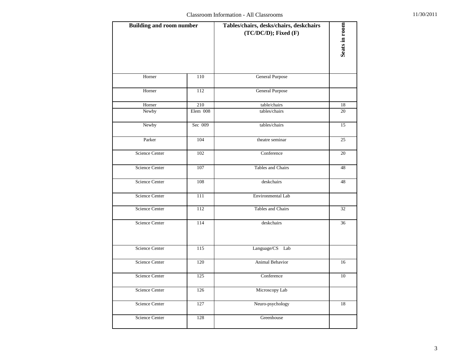| <b>Building and room number</b> |          | Tables/chairs, desks/chairs, deskchairs<br>$(TC/DC/D)$ ; Fixed $(F)$ | Seats in room |
|---------------------------------|----------|----------------------------------------------------------------------|---------------|
| Horner                          | 110      | <b>General Purpose</b>                                               |               |
| Horner                          | 112      | <b>General Purpose</b>                                               |               |
| Horner                          | 210      | table/chairs                                                         | 18            |
| Newby                           | Elem 008 | tables/chairs                                                        | 20            |
| Newby                           | Sec 009  | tables/chairs                                                        | 15            |
| Parker                          | 104      | theatre seminar                                                      | 25            |
| Science Center                  | 102      | Conference                                                           | 20            |
| Science Center                  | 107      | Tables and Chairs                                                    | 48            |
| <b>Science Center</b>           | 108      | deskchairs                                                           | 48            |
| Science Center                  | 111      | Environmental Lab                                                    |               |
| <b>Science Center</b>           | 112      | Tables and Chairs                                                    | 32            |
| Science Center                  | 114      | deskchairs                                                           | 36            |
| Science Center                  | 115      | Language/CS Lab                                                      |               |
| <b>Science Center</b>           | 120      | <b>Animal Behavior</b>                                               | 16            |
| <b>Science Center</b>           | 125      | Conference                                                           | 10            |
| <b>Science Center</b>           | 126      | Microscopy Lab                                                       |               |
| Science Center                  | 127      | Neuro-psychology                                                     | 18            |
| Science Center                  | 128      | Greenhouse                                                           |               |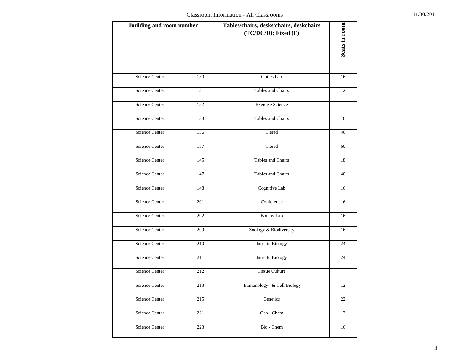| <b>Building and room number</b> |     | Tables/chairs, desks/chairs, deskchairs<br>$(TC/DC/D)$ ; Fixed $(F)$ | Seats in room |
|---------------------------------|-----|----------------------------------------------------------------------|---------------|
| <b>Science Center</b>           | 130 | Optics Lab                                                           | 16            |
| <b>Science Center</b>           | 131 | Tables and Chairs                                                    | 12            |
| Science Center                  | 132 | <b>Exercise Science</b>                                              |               |
| Science Center                  | 133 | Tables and Chairs                                                    | 16            |
| <b>Science Center</b>           | 136 | Tiered                                                               | 46            |
| Science Center                  | 137 | Tiered                                                               | 60            |
| Science Center                  | 145 | Tables and Chairs                                                    | 18            |
| Science Center                  | 147 | Tables and Chairs                                                    | 40            |
| Science Center                  | 148 | Cognitive Lab                                                        | 16            |
| <b>Science Center</b>           | 201 | Conference                                                           | 16            |
| <b>Science Center</b>           | 202 | Botany Lab                                                           | 16            |
| Science Center                  | 209 | Zoology & Biodiversity                                               | 16            |
| <b>Science Center</b>           | 210 | Intro to Biology                                                     | 24            |
| <b>Science Center</b>           | 211 | Intro to Biology                                                     | 24            |
| <b>Science Center</b>           | 212 | <b>Tissue Culture</b>                                                |               |
| <b>Science Center</b>           | 213 | Immunology & Cell Biology                                            | 12            |
| Science Center                  | 215 | Genetics                                                             | 22            |
| Science Center                  | 221 | Geo - Chem                                                           | 13            |
| Science Center                  | 223 | Bio - Chem                                                           | 16            |